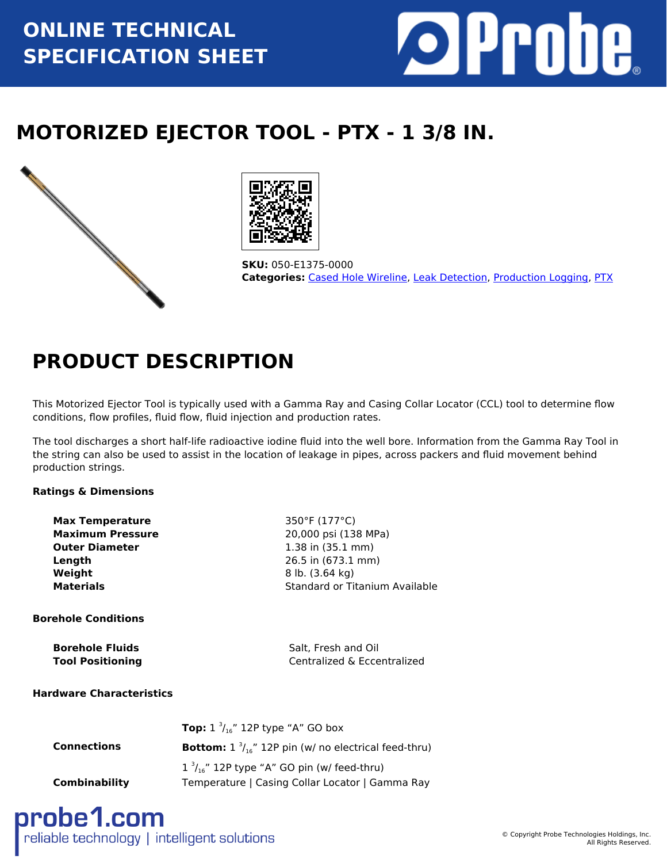# **ONLINE TECHNICAL SPECIFICATION SHEET**



# **MOTORIZED EJECTOR TOOL - PTX - 1 3/8 IN.**





**SKU:** 050-E1375-0000 **Categories:** [Cased Hole Wireline,](https://www.probe1.com/product-category/cased-hole-wireline/) [Leak Detection](https://www.probe1.com/product-category/leak-detection/), [Production Logging](https://www.probe1.com/product-category/production-logging/), [PTX](https://www.probe1.com/product-category/ptx/)

## **PRODUCT DESCRIPTION**

This Motorized Ejector Tool is typically used with a Gamma Ray and Casing Collar Locator (CCL) tool to determine flow conditions, flow profiles, fluid flow, fluid injection and production rates.

The tool discharges a short half-life radioactive iodine fluid into the well bore. Information from the Gamma Ray Tool in the string can also be used to assist in the location of leakage in pipes, across packers and fluid movement behind production strings.

## **Ratings & Dimensions**

| <b>Max Temperature</b>  | 350°F (177°C)                  |
|-------------------------|--------------------------------|
| <b>Maximum Pressure</b> | 20,000 psi (138 MPa)           |
| <b>Outer Diameter</b>   | $1.38$ in $(35.1$ mm)          |
| Length                  | 26.5 in (673.1 mm)             |
| Weight                  | 8 lb. (3.64 kg)                |
| <b>Materials</b>        | Standard or Titanium Available |

#### **Borehole Conditions**

| <b>Borehole Fluids</b>  | Salt, Fresh and Oil         |
|-------------------------|-----------------------------|
| <b>Tool Positioning</b> | Centralized & Eccentralized |

#### **Hardware Characteristics**

|                      | <b>Top:</b> $1 \frac{3}{16}$ " 12P type "A" GO box                     |
|----------------------|------------------------------------------------------------------------|
| <b>Connections</b>   | <b>Bottom:</b> $1 \frac{3}{16}$ " 12P pin (w/ no electrical feed-thru) |
|                      | $1 \frac{3}{16}$ " 12P type "A" GO pin (w/ feed-thru)                  |
| <b>Combinability</b> | Temperature   Casing Collar Locator   Gamma Ray                        |

probe1.com reliable technology | intelligent solutions